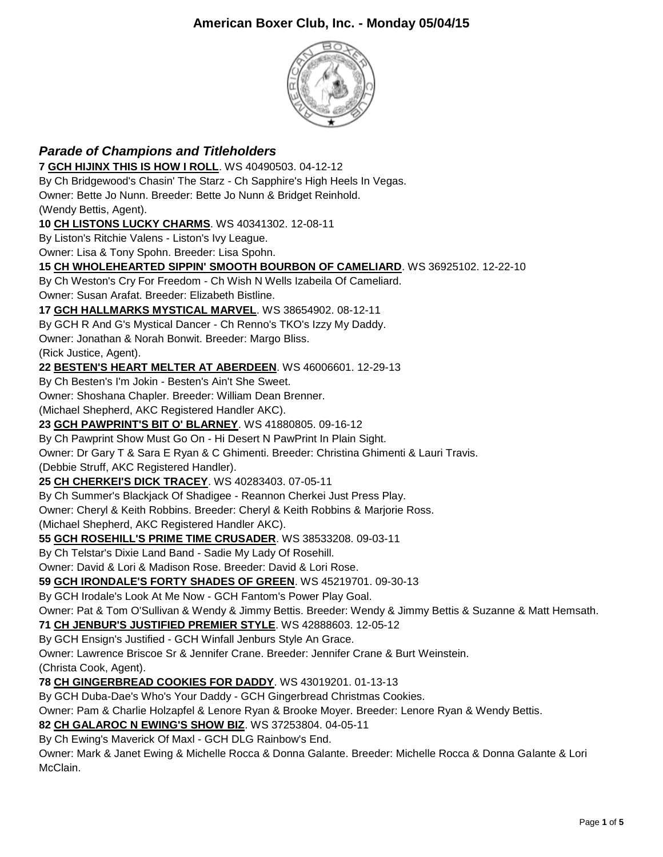

## *Parade of Champions and Titleholders* **7 [GCH HIJINX THIS IS HOW I ROLL](http://www.infodog.com/files/bdogrsl1.prg;makc=WS%2040490503;mdog=GCH_HiJinx_This_Is_How_I_Roll;wins=all)**. WS 40490503. 04-12-12 By Ch Bridgewood's Chasin' The Starz - Ch Sapphire's High Heels In Vegas. Owner: Bette Jo Nunn. Breeder: Bette Jo Nunn & Bridget Reinhold. (Wendy Bettis, Agent). **10 [CH LISTONS LUCKY CHARMS](http://www.infodog.com/files/bdogrsl1.prg;makc=WS%2040341302;mdog=Ch_Listons_Lucky_Charms;wins=all)**. WS 40341302. 12-08-11 By Liston's Ritchie Valens - Liston's Ivy League. Owner: Lisa & Tony Spohn. Breeder: Lisa Spohn. **15 [CH WHOLEHEARTED SIPPIN' SMOOTH BOURBON OF CAMELIARD](http://www.infodog.com/files/bdogrsl1.prg;makc=WS%2036925102;mdog=Ch_Wholehearted_Sippin__Smooth_Bourbon_Of_Cameliard;wins=all)**. WS 36925102. 12-22-10 By Ch Weston's Cry For Freedom - Ch Wish N Wells Izabeila Of Cameliard. Owner: Susan Arafat. Breeder: Elizabeth Bistline. **17 [GCH HALLMARKS MYSTICAL MARVEL](http://www.infodog.com/files/bdogrsl1.prg;makc=WS%2038654902;mdog=GCH_Hallmarks_Mystical_Marvel;wins=all)**. WS 38654902. 08-12-11 By GCH R And G's Mystical Dancer - Ch Renno's TKO's Izzy My Daddy. Owner: Jonathan & Norah Bonwit. Breeder: Margo Bliss. (Rick Justice, Agent). **22 [BESTEN'S HEART MELTER AT ABERDEEN](http://www.infodog.com/files/bdogrsl1.prg;makc=WS%2046006601;mdog=Besten_s_Heart_Melter_At_Aberdeen;wins=all)**. WS 46006601. 12-29-13 By Ch Besten's I'm Jokin - Besten's Ain't She Sweet. Owner: Shoshana Chapler. Breeder: William Dean Brenner. (Michael Shepherd, AKC Registered Handler AKC). **23 [GCH PAWPRINT'S BIT O' BLARNEY](http://www.infodog.com/files/bdogrsl1.prg;makc=WS%2041880805;mdog=GCH_Pawprint_s_Bit_O__Blarney;wins=all)**. WS 41880805. 09-16-12 By Ch Pawprint Show Must Go On - Hi Desert N PawPrint In Plain Sight. Owner: Dr Gary T & Sara E Ryan & C Ghimenti. Breeder: Christina Ghimenti & Lauri Travis. (Debbie Struff, AKC Registered Handler). **25 [CH CHERKEI'S DICK TRACEY](http://www.infodog.com/files/bdogrsl1.prg;makc=WS%2040283403;mdog=Ch_Cherkei_s_Dick_Tracey;wins=all)**. WS 40283403. 07-05-11 By Ch Summer's Blackjack Of Shadigee - Reannon Cherkei Just Press Play. Owner: Cheryl & Keith Robbins. Breeder: Cheryl & Keith Robbins & Marjorie Ross. (Michael Shepherd, AKC Registered Handler AKC). **55 [GCH ROSEHILL'S PRIME TIME CRUSADER](http://www.infodog.com/files/bdogrsl1.prg;makc=WS%2038533208;mdog=GCH_Rosehill_s_Prime_Time_Crusader;wins=all)**. WS 38533208. 09-03-11 By Ch Telstar's Dixie Land Band - Sadie My Lady Of Rosehill. Owner: David & Lori & Madison Rose. Breeder: David & Lori Rose. **59 [GCH IRONDALE'S FORTY SHADES OF GREEN](http://www.infodog.com/files/bdogrsl1.prg;makc=WS%2045219701;mdog=GCH_Irondale_s_Forty_Shades_Of_Green;wins=all)**. WS 45219701. 09-30-13 By GCH Irodale's Look At Me Now - GCH Fantom's Power Play Goal. Owner: Pat & Tom O'Sullivan & Wendy & Jimmy Bettis. Breeder: Wendy & Jimmy Bettis & Suzanne & Matt Hemsath. **71 [CH JENBUR'S JUSTIFIED PREMIER STYLE](http://www.infodog.com/files/bdogrsl1.prg;makc=WS%2042888603;mdog=Ch_Jenbur_s_Justified_Premier_Style;wins=all)**. WS 42888603. 12-05-12 By GCH Ensign's Justified - GCH Winfall Jenburs Style An Grace. Owner: Lawrence Briscoe Sr & Jennifer Crane. Breeder: Jennifer Crane & Burt Weinstein. (Christa Cook, Agent). **78 [CH GINGERBREAD COOKIES FOR DADDY](http://www.infodog.com/files/bdogrsl1.prg;makc=WS%2043019201;mdog=Ch_Gingerbread_Cookies_For_Daddy;wins=all)**. WS 43019201. 01-13-13 By GCH Duba-Dae's Who's Your Daddy - GCH Gingerbread Christmas Cookies. Owner: Pam & Charlie Holzapfel & Lenore Ryan & Brooke Moyer. Breeder: Lenore Ryan & Wendy Bettis. **82 [CH GALAROC N EWING'S SHOW BIZ](http://www.infodog.com/files/bdogrsl1.prg;makc=WS%2037253804;mdog=Ch_Galaroc_N_Ewing_s_Show_Biz;wins=all)**. WS 37253804. 04-05-11 By Ch Ewing's Maverick Of Maxl - GCH DLG Rainbow's End. Owner: Mark & Janet Ewing & Michelle Rocca & Donna Galante. Breeder: Michelle Rocca & Donna Galante & Lori

McClain.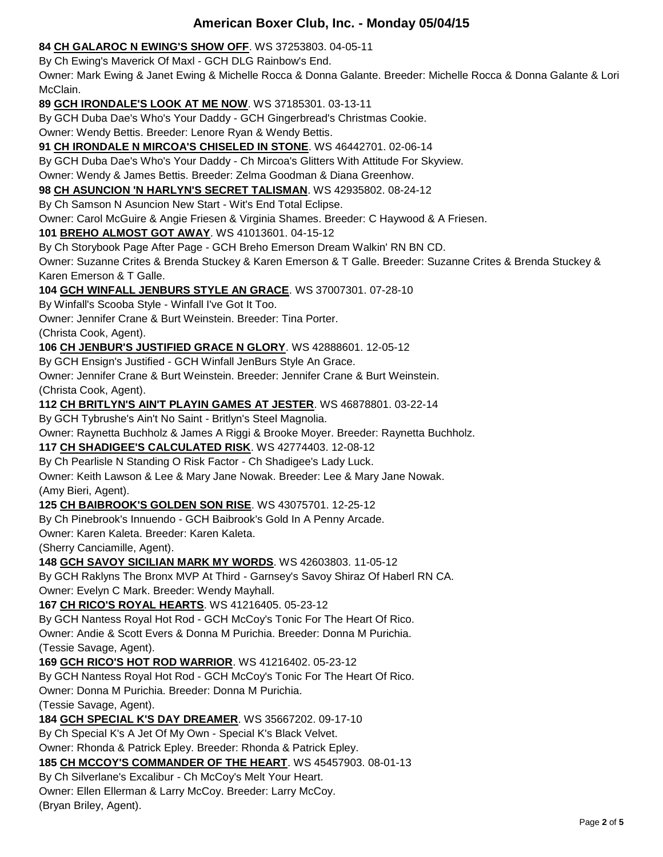#### **84 [CH GALAROC N EWING'S SHOW OFF](http://www.infodog.com/files/bdogrsl1.prg;makc=WS%2037253803;mdog=Ch_Galaroc_N_Ewing_s_Show_Off;wins=all)**. WS 37253803. 04-05-11

By Ch Ewing's Maverick Of Maxl - GCH DLG Rainbow's End.

Owner: Mark Ewing & Janet Ewing & Michelle Rocca & Donna Galante. Breeder: Michelle Rocca & Donna Galante & Lori McClain.

**89 [GCH IRONDALE'S LOOK AT ME NOW](http://www.infodog.com/files/bdogrsl1.prg;makc=WS%2037185301;mdog=GCH_Irondale_s_Look_At_Me_Now;wins=all)**. WS 37185301. 03-13-11

By GCH Duba Dae's Who's Your Daddy - GCH Gingerbread's Christmas Cookie.

Owner: Wendy Bettis. Breeder: Lenore Ryan & Wendy Bettis.

**91 [CH IRONDALE N MIRCOA'S CHISELED IN STONE](http://www.infodog.com/files/bdogrsl1.prg;makc=WS%2046442701;mdog=Ch_Irondale_N_Mircoa_s_Chiseled_In_Stone;wins=all)**. WS 46442701. 02-06-14

By GCH Duba Dae's Who's Your Daddy - Ch Mircoa's Glitters With Attitude For Skyview.

Owner: Wendy & James Bettis. Breeder: Zelma Goodman & Diana Greenhow.

**98 [CH ASUNCION 'N HARLYN'S SECRET TALISMAN](http://www.infodog.com/files/bdogrsl1.prg;makc=WS%2042935802;mdog=Ch_Asuncion__N_Harlyn_s_Secret_Talisman;wins=all)**. WS 42935802. 08-24-12

By Ch Samson N Asuncion New Start - Wit's End Total Eclipse.

Owner: Carol McGuire & Angie Friesen & Virginia Shames. Breeder: C Haywood & A Friesen.

**101 [BREHO ALMOST GOT AWAY](http://www.infodog.com/files/bdogrsl1.prg;makc=WS%2041013601;mdog=Breho_Almost_Got_Away;wins=all)**. WS 41013601. 04-15-12

By Ch Storybook Page After Page - GCH Breho Emerson Dream Walkin' RN BN CD.

Owner: Suzanne Crites & Brenda Stuckey & Karen Emerson & T Galle. Breeder: Suzanne Crites & Brenda Stuckey & Karen Emerson & T Galle.

**104 [GCH WINFALL JENBURS STYLE AN GRACE](http://www.infodog.com/files/bdogrsl1.prg;makc=WS%2037007301;mdog=GCH_Winfall_JenBurs_Style_An_Grace;wins=all)**. WS 37007301. 07-28-10

By Winfall's Scooba Style - Winfall I've Got It Too.

Owner: Jennifer Crane & Burt Weinstein. Breeder: Tina Porter.

(Christa Cook, Agent).

**106 [CH JENBUR'S JUSTIFIED GRACE N GLORY](http://www.infodog.com/files/bdogrsl1.prg;makc=WS%2042888601;mdog=Ch_JenBur_s_Justified_Grace_N_Glory;wins=all)**. WS 42888601. 12-05-12

By GCH Ensign's Justified - GCH Winfall JenBurs Style An Grace.

Owner: Jennifer Crane & Burt Weinstein. Breeder: Jennifer Crane & Burt Weinstein.

(Christa Cook, Agent).

**112 [CH BRITLYN'S AIN'T PLAYIN GAMES AT JESTER](http://www.infodog.com/files/bdogrsl1.prg;makc=WS%2046878801;mdog=Ch_Britlyn_s_Ain_t_Playin_Games_At_Jester;wins=all)**. WS 46878801. 03-22-14

By GCH Tybrushe's Ain't No Saint - Britlyn's Steel Magnolia.

Owner: Raynetta Buchholz & James A Riggi & Brooke Moyer. Breeder: Raynetta Buchholz.

**117 [CH SHADIGEE'S CALCULATED RISK](http://www.infodog.com/files/bdogrsl1.prg;makc=WS%2042774403;mdog=Ch_Shadigee_s_Calculated_Risk;wins=all)**. WS 42774403. 12-08-12

By Ch Pearlisle N Standing O Risk Factor - Ch Shadigee's Lady Luck.

Owner: Keith Lawson & Lee & Mary Jane Nowak. Breeder: Lee & Mary Jane Nowak. (Amy Bieri, Agent).

#### **125 [CH BAIBROOK'S GOLDEN SON RISE](http://www.infodog.com/files/bdogrsl1.prg;makc=WS%2043075701;mdog=Ch_Baibrook_s_Golden_Son_Rise;wins=all)**. WS 43075701. 12-25-12

By Ch Pinebrook's Innuendo - GCH Baibrook's Gold In A Penny Arcade.

Owner: Karen Kaleta. Breeder: Karen Kaleta.

(Sherry Canciamille, Agent).

#### **148 [GCH SAVOY SICILIAN MARK MY WORDS](http://www.infodog.com/files/bdogrsl1.prg;makc=WS%2042603803;mdog=GCH_Savoy_Sicilian_Mark_My_Words;wins=all)**. WS 42603803. 11-05-12

By GCH Raklyns The Bronx MVP At Third - Garnsey's Savoy Shiraz Of Haberl RN CA. Owner: Evelyn C Mark. Breeder: Wendy Mayhall.

**167 [CH RICO'S ROYAL HEARTS](http://www.infodog.com/files/bdogrsl1.prg;makc=WS%2041216405;mdog=Ch_Rico_s_Royal_Hearts;wins=all)**. WS 41216405. 05-23-12

By GCH Nantess Royal Hot Rod - GCH McCoy's Tonic For The Heart Of Rico.

Owner: Andie & Scott Evers & Donna M Purichia. Breeder: Donna M Purichia.

(Tessie Savage, Agent).

**169 [GCH RICO'S HOT ROD WARRIOR](http://www.infodog.com/files/bdogrsl1.prg;makc=WS%2041216402;mdog=GCH_Rico_s_Hot_Rod_Warrior;wins=all)**. WS 41216402. 05-23-12

By GCH Nantess Royal Hot Rod - GCH McCoy's Tonic For The Heart Of Rico.

Owner: Donna M Purichia. Breeder: Donna M Purichia.

(Tessie Savage, Agent).

**184 [GCH SPECIAL K'S DAY DREAMER](http://www.infodog.com/files/bdogrsl1.prg;makc=WS%2035667202;mdog=GCH_Special_K_s_Day_Dreamer;wins=all)**. WS 35667202. 09-17-10

By Ch Special K's A Jet Of My Own - Special K's Black Velvet.

Owner: Rhonda & Patrick Epley. Breeder: Rhonda & Patrick Epley.

**185 [CH MCCOY'S COMMANDER OF THE HEART](http://www.infodog.com/files/bdogrsl1.prg;makc=WS%2045457903;mdog=Ch_McCoy_s_Commander_Of_The_Heart;wins=all)**. WS 45457903. 08-01-13

By Ch Silverlane's Excalibur - Ch McCoy's Melt Your Heart.

Owner: Ellen Ellerman & Larry McCoy. Breeder: Larry McCoy.

(Bryan Briley, Agent).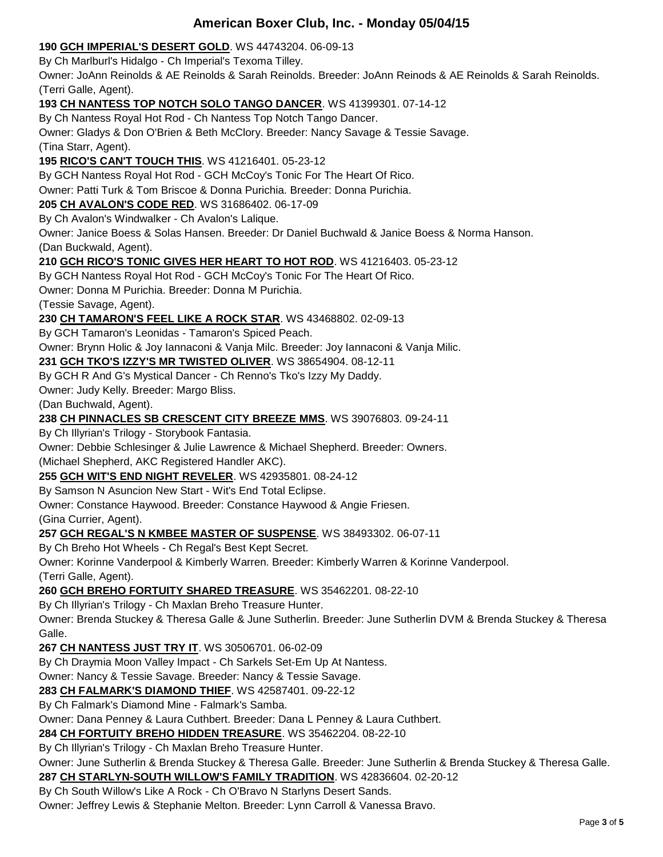#### **190 [GCH IMPERIAL'S DESERT GOLD](http://www.infodog.com/files/bdogrsl1.prg;makc=WS%2044743204;mdog=GCH_Imperial_s_Desert_Gold;wins=all)**. WS 44743204. 06-09-13

By Ch Marlburl's Hidalgo - Ch Imperial's Texoma Tilley.

Owner: JoAnn Reinolds & AE Reinolds & Sarah Reinolds. Breeder: JoAnn Reinods & AE Reinolds & Sarah Reinolds. (Terri Galle, Agent).

**193 [CH NANTESS TOP NOTCH SOLO TANGO DANCER](http://www.infodog.com/files/bdogrsl1.prg;makc=WS%2041399301;mdog=Ch_Nantess_Top_Notch_Solo_Tango_Dancer;wins=all)**. WS 41399301. 07-14-12

By Ch Nantess Royal Hot Rod - Ch Nantess Top Notch Tango Dancer.

Owner: Gladys & Don O'Brien & Beth McClory. Breeder: Nancy Savage & Tessie Savage.

(Tina Starr, Agent).

**195 [RICO'S CAN'T TOUCH THIS](http://www.infodog.com/files/bdogrsl1.prg;makc=WS%2041216401;mdog=Rico_s_Can_t_Touch_This;wins=all)**. WS 41216401. 05-23-12

By GCH Nantess Royal Hot Rod - GCH McCoy's Tonic For The Heart Of Rico.

Owner: Patti Turk & Tom Briscoe & Donna Purichia. Breeder: Donna Purichia.

## **205 [CH AVALON'S CODE RED](http://www.infodog.com/files/bdogrsl1.prg;makc=WS%2031686402;mdog=Ch_Avalon_s_Code_Red;wins=all)**. WS 31686402. 06-17-09

By Ch Avalon's Windwalker - Ch Avalon's Lalique.

Owner: Janice Boess & Solas Hansen. Breeder: Dr Daniel Buchwald & Janice Boess & Norma Hanson. (Dan Buckwald, Agent).

#### **210 [GCH RICO'S TONIC GIVES HER HEART TO HOT ROD](http://www.infodog.com/files/bdogrsl1.prg;makc=WS%2041216403;mdog=GCH_Rico_s_Tonic_Gives_Her_Heart_To_Hot_Rod;wins=all)**. WS 41216403. 05-23-12

By GCH Nantess Royal Hot Rod - GCH McCoy's Tonic For The Heart Of Rico.

Owner: Donna M Purichia. Breeder: Donna M Purichia.

(Tessie Savage, Agent).

**230 [CH TAMARON'S FEEL LIKE A ROCK STAR](http://www.infodog.com/files/bdogrsl1.prg;makc=WS%2043468802;mdog=Ch_Tamaron_s_Feel_Like_A_Rock_Star;wins=all)**. WS 43468802. 02-09-13

By GCH Tamaron's Leonidas - Tamaron's Spiced Peach.

Owner: Brynn Holic & Joy Iannaconi & Vanja Milc. Breeder: Joy Iannaconi & Vanja Milic.

## **231 [GCH TKO'S IZZY'S MR TWISTED OLIVER](http://www.infodog.com/files/bdogrsl1.prg;makc=WS%2038654904;mdog=GCH_TKO_s_Izzy_s_Mr_Twisted_Oliver;wins=all)**. WS 38654904. 08-12-11

By GCH R And G's Mystical Dancer - Ch Renno's Tko's Izzy My Daddy.

Owner: Judy Kelly. Breeder: Margo Bliss.

(Dan Buchwald, Agent).

#### **238 [CH PINNACLES SB CRESCENT CITY BREEZE MMS](http://www.infodog.com/files/bdogrsl1.prg;makc=WS%2039076803;mdog=Ch_Pinnacles_SB_Crescent_City_Breeze_MMS;wins=all)**. WS 39076803. 09-24-11

By Ch Illyrian's Trilogy - Storybook Fantasia.

Owner: Debbie Schlesinger & Julie Lawrence & Michael Shepherd. Breeder: Owners.

(Michael Shepherd, AKC Registered Handler AKC).

**255 [GCH WIT'S END NIGHT REVELER](http://www.infodog.com/files/bdogrsl1.prg;makc=WS%2042935801;mdog=GCH_Wit_s_End_Night_Reveler;wins=all)**. WS 42935801. 08-24-12

By Samson N Asuncion New Start - Wit's End Total Eclipse.

Owner: Constance Haywood. Breeder: Constance Haywood & Angie Friesen.

(Gina Currier, Agent).

**257 [GCH REGAL'S N KMBEE MASTER OF SUSPENSE](http://www.infodog.com/files/bdogrsl1.prg;makc=WS%2038493302;mdog=GCH_Regal_s_N_Kmbee_Master_Of_Suspense;wins=all)**. WS 38493302. 06-07-11

By Ch Breho Hot Wheels - Ch Regal's Best Kept Secret.

Owner: Korinne Vanderpool & Kimberly Warren. Breeder: Kimberly Warren & Korinne Vanderpool. (Terri Galle, Agent).

**260 [GCH BREHO FORTUITY SHARED TREASURE](http://www.infodog.com/files/bdogrsl1.prg;makc=WS%2035462201;mdog=GCH_Breho_Fortuity_Shared_Treasure;wins=all)**. WS 35462201. 08-22-10

By Ch Illyrian's Trilogy - Ch Maxlan Breho Treasure Hunter.

Owner: Brenda Stuckey & Theresa Galle & June Sutherlin. Breeder: June Sutherlin DVM & Brenda Stuckey & Theresa Galle.

#### **267 [CH NANTESS JUST TRY IT](http://www.infodog.com/files/bdogrsl1.prg;makc=WS%2030506701;mdog=Ch_Nantess_Just_Try_It;wins=all)**. WS 30506701. 06-02-09

By Ch Draymia Moon Valley Impact - Ch Sarkels Set-Em Up At Nantess.

Owner: Nancy & Tessie Savage. Breeder: Nancy & Tessie Savage.

**283 [CH FALMARK'S DIAMOND THIEF](http://www.infodog.com/files/bdogrsl1.prg;makc=WS%2042587401;mdog=Ch_Falmark_s_Diamond_Thief;wins=all)**. WS 42587401. 09-22-12

By Ch Falmark's Diamond Mine - Falmark's Samba.

Owner: Dana Penney & Laura Cuthbert. Breeder: Dana L Penney & Laura Cuthbert.

**284 [CH FORTUITY BREHO HIDDEN TREASURE](http://www.infodog.com/files/bdogrsl1.prg;makc=WS%2035462204;mdog=Ch_Fortuity_Breho_Hidden_Treasure;wins=all)**. WS 35462204. 08-22-10

By Ch Illyrian's Trilogy - Ch Maxlan Breho Treasure Hunter.

Owner: June Sutherlin & Brenda Stuckey & Theresa Galle. Breeder: June Sutherlin & Brenda Stuckey & Theresa Galle.

**287 [CH STARLYN-SOUTH WILLOW'S FAMILY TRADITION](http://www.infodog.com/files/bdogrsl1.prg;makc=WS%2042836604;mdog=Ch_Starlyn-South_Willow_s_Family_Tradition;wins=all)**. WS 42836604. 02-20-12

By Ch South Willow's Like A Rock - Ch O'Bravo N Starlyns Desert Sands.

Owner: Jeffrey Lewis & Stephanie Melton. Breeder: Lynn Carroll & Vanessa Bravo.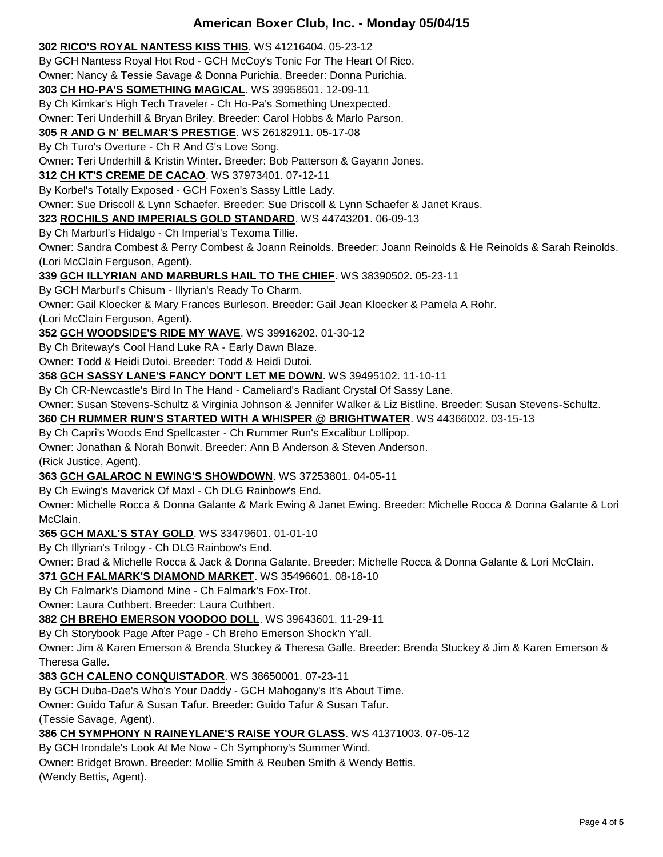**302 [RICO'S ROYAL NANTESS KISS THIS](http://www.infodog.com/files/bdogrsl1.prg;makc=WS%2041216404;mdog=Rico_s_Royal_Nantess_Kiss_This;wins=all)**. WS 41216404. 05-23-12

By GCH Nantess Royal Hot Rod - GCH McCoy's Tonic For The Heart Of Rico.

Owner: Nancy & Tessie Savage & Donna Purichia. Breeder: Donna Purichia.

**303 [CH HO-PA'S SOMETHING MAGICAL](http://www.infodog.com/files/bdogrsl1.prg;makc=WS%2039958501;mdog=Ch_Ho-Pa_s_Something_Magical;wins=all)**. WS 39958501. 12-09-11

By Ch Kimkar's High Tech Traveler - Ch Ho-Pa's Something Unexpected.

Owner: Teri Underhill & Bryan Briley. Breeder: Carol Hobbs & Marlo Parson.

**305 R AND G [N' BELMAR'S PRESTIGE](http://www.infodog.com/files/bdogrsl1.prg;makc=WS%2026182911;mdog=R_And_G_N__Belmar_s_Prestige;wins=all)**. WS 26182911. 05-17-08

By Ch Turo's Overture - Ch R And G's Love Song.

Owner: Teri Underhill & Kristin Winter. Breeder: Bob Patterson & Gayann Jones.

**312 [CH KT'S CREME DE CACAO](http://www.infodog.com/files/bdogrsl1.prg;makc=WS%2037973401;mdog=Ch_Kt_s_Creme_De_Cacao;wins=all)**. WS 37973401. 07-12-11

By Korbel's Totally Exposed - GCH Foxen's Sassy Little Lady.

Owner: Sue Driscoll & Lynn Schaefer. Breeder: Sue Driscoll & Lynn Schaefer & Janet Kraus.

**323 [ROCHILS AND IMPERIALS GOLD STANDARD](http://www.infodog.com/files/bdogrsl1.prg;makc=WS%2044743201;mdog=Rochils_And_Imperials_Gold_Standard;wins=all)**. WS 44743201. 06-09-13

By Ch Marburl's Hidalgo - Ch Imperial's Texoma Tillie.

Owner: Sandra Combest & Perry Combest & Joann Reinolds. Breeder: Joann Reinolds & He Reinolds & Sarah Reinolds. (Lori McClain Ferguson, Agent).

**339 GCH [ILLYRIAN AND MARBURLS HAIL TO THE CHIEF](http://www.infodog.com/files/bdogrsl1.prg;makc=WS%2038390502;mdog=GCH_Illyrian_And_Marburls_Hail_To_The_Chief;wins=all)**. WS 38390502. 05-23-11

By GCH Marburl's Chisum - Illyrian's Ready To Charm.

Owner: Gail Kloecker & Mary Frances Burleson. Breeder: Gail Jean Kloecker & Pamela A Rohr.

(Lori McClain Ferguson, Agent).

**352 [GCH WOODSIDE'S RIDE MY WAVE](http://www.infodog.com/files/bdogrsl1.prg;makc=WS%2039916202;mdog=GCH_Woodside_s_Ride_My_Wave;wins=all)**. WS 39916202. 01-30-12

By Ch Briteway's Cool Hand Luke RA - Early Dawn Blaze.

Owner: Todd & Heidi Dutoi. Breeder: Todd & Heidi Dutoi.

**358 [GCH SASSY LANE'S FANCY DON'T LET ME DOWN](http://www.infodog.com/files/bdogrsl1.prg;makc=WS%2039495102;mdog=GCH_Sassy_Lane_s_Fancy_Don_t_Let_Me_Down;wins=all)**. WS 39495102. 11-10-11

By Ch CR-Newcastle's Bird In The Hand - Cameliard's Radiant Crystal Of Sassy Lane.

Owner: Susan Stevens-Schultz & Virginia Johnson & Jennifer Walker & Liz Bistline. Breeder: Susan Stevens-Schultz.

**360 [CH RUMMER RUN'S STARTED WITH A WHISPER @ BRIGHTWATER](http://www.infodog.com/files/bdogrsl1.prg;makc=WS%2044366002;mdog=Ch_Rummer_Run_s_Started_With_A_Whisper_@_Brightwater;wins=all)**. WS 44366002. 03-15-13

By Ch Capri's Woods End Spellcaster - Ch Rummer Run's Excalibur Lollipop.

Owner: Jonathan & Norah Bonwit. Breeder: Ann B Anderson & Steven Anderson.

(Rick Justice, Agent).

**363 [GCH GALAROC N EWING'S SHOWDOWN](http://www.infodog.com/files/bdogrsl1.prg;makc=WS%2037253801;mdog=GCH_Galaroc_N_Ewing_s_Showdown;wins=all)**. WS 37253801. 04-05-11

By Ch Ewing's Maverick Of Maxl - Ch DLG Rainbow's End.

Owner: Michelle Rocca & Donna Galante & Mark Ewing & Janet Ewing. Breeder: Michelle Rocca & Donna Galante & Lori McClain.

**365 [GCH MAXL'S STAY GOLD](http://www.infodog.com/files/bdogrsl1.prg;makc=WS%2033479601;mdog=GCH_Maxl_s_Stay_Gold;wins=all)**. WS 33479601. 01-01-10

By Ch Illyrian's Trilogy - Ch DLG Rainbow's End.

Owner: Brad & Michelle Rocca & Jack & Donna Galante. Breeder: Michelle Rocca & Donna Galante & Lori McClain.

**371 [GCH FALMARK'S DIAMOND MARKET](http://www.infodog.com/files/bdogrsl1.prg;makc=WS%2035496601;mdog=GCH_Falmark_s_Diamond_Market;wins=all)**. WS 35496601. 08-18-10

By Ch Falmark's Diamond Mine - Ch Falmark's Fox-Trot.

Owner: Laura Cuthbert. Breeder: Laura Cuthbert.

**382 [CH BREHO EMERSON VOODOO DOLL](http://www.infodog.com/files/bdogrsl1.prg;makc=WS%2039643601;mdog=Ch_Breho_Emerson_Voodoo_Doll;wins=all)**. WS 39643601. 11-29-11

By Ch Storybook Page After Page - Ch Breho Emerson Shock'n Y'all.

Owner: Jim & Karen Emerson & Brenda Stuckey & Theresa Galle. Breeder: Brenda Stuckey & Jim & Karen Emerson & Theresa Galle.

**383 [GCH CALENO CONQUISTADOR](http://www.infodog.com/files/bdogrsl1.prg;makc=WS%2038650001;mdog=GCH_Caleno_Conquistador;wins=all)**. WS 38650001. 07-23-11

By GCH Duba-Dae's Who's Your Daddy - GCH Mahogany's It's About Time.

Owner: Guido Tafur & Susan Tafur. Breeder: Guido Tafur & Susan Tafur.

(Tessie Savage, Agent).

**386 [CH SYMPHONY N RAINEYLANE'S RAISE YOUR GLASS](http://www.infodog.com/files/bdogrsl1.prg;makc=WS%2041371003;mdog=Ch_Symphony_N_Raineylane_s_Raise_Your_Glass;wins=all)**. WS 41371003. 07-05-12

By GCH Irondale's Look At Me Now - Ch Symphony's Summer Wind.

Owner: Bridget Brown. Breeder: Mollie Smith & Reuben Smith & Wendy Bettis.

(Wendy Bettis, Agent).